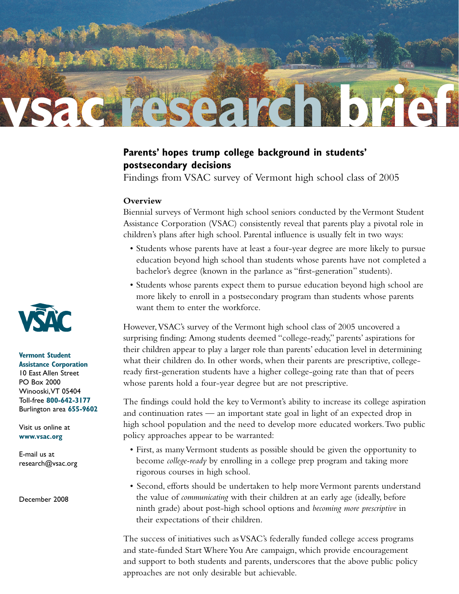

# **Parents' hopes trump college background in students' postsecondary decisions**

Findings from VSAC survey of Vermont high school class of 2005

#### **Overview**

Biennial surveys of Vermont high school seniors conducted by the Vermont Student Assistance Corporation (VSAC) consistently reveal that parents play a pivotal role in children's plans after high school. Parental influence is usually felt in two ways:

- Students whose parents have at least a four-year degree are more likely to pursue education beyond high school than students whose parents have not completed a bachelor's degree (known in the parlance as "first-generation" students).
- Students whose parents expect them to pursue education beyond high school are more likely to enroll in a postsecondary program than students whose parents want them to enter the workforce.

However,VSAC's survey of the Vermont high school class of 2005 uncovered a surprising finding: Among students deemed "college-ready," parents' aspirations for their children appear to play a larger role than parents' education level in determining what their children do. In other words, when their parents are prescriptive, collegeready first-generation students have a higher college-going rate than that of peers whose parents hold a four-year degree but are not prescriptive.

The findings could hold the key to Vermont's ability to increase its college aspiration and continuation rates — an important state goal in light of an expected drop in high school population and the need to develop more educated workers.Two public policy approaches appear to be warranted:

- First, as many Vermont students as possible should be given the opportunity to become *college-ready* by enrolling in a college prep program and taking more rigorous courses in high school.
- Second, efforts should be undertaken to help more Vermont parents understand the value of *communicating* with their children at an early age (ideally, before ninth grade) about post-high school options and *becoming more prescriptive* in their expectations of their children.

The success of initiatives such as VSAC's federally funded college access programs and state-funded Start Where You Are campaign, which provide encouragement and support to both students and parents, underscores that the above public policy approaches are not only desirable but achievable.



# **Vermont Student**

**Assistance Corporation** 10 East Allen Street PO Box 2000 Winooski,VT 05404 Toll-free **800-642-3177** Burlington area **655-9602**

Visit us online at **www.vsac.org**

E-mail us at research@vsac.org

December 2008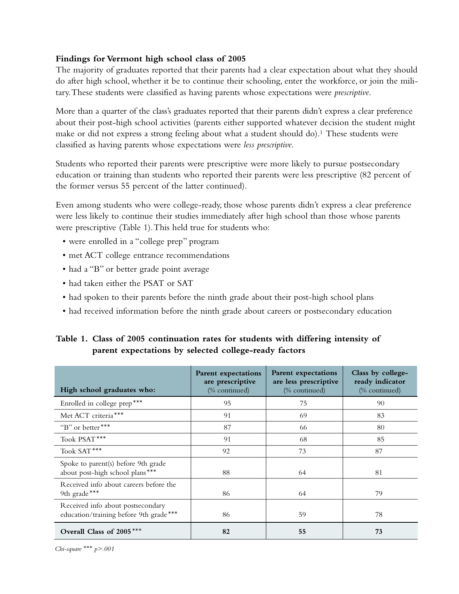### **Findings for Vermont high school class of 2005**

The majority of graduates reported that their parents had a clear expectation about what they should do after high school, whether it be to continue their schooling, enter the workforce, or join the military.These students were classified as having parents whose expectations were *prescriptive*.

More than a quarter of the class's graduates reported that their parents didn't express a clear preference about their post-high school activities (parents either supported whatever decision the student might make or did not express a strong feeling about what a student should do).1 These students were classified as having parents whose expectations were *less prescriptive*.

Students who reported their parents were prescriptive were more likely to pursue postsecondary education or training than students who reported their parents were less prescriptive (82 percent of the former versus 55 percent of the latter continued).

Even among students who were college-ready, those whose parents didn't express a clear preference were less likely to continue their studies immediately after high school than those whose parents were prescriptive (Table 1).This held true for students who:

- were enrolled in a "college prep" program
- met ACT college entrance recommendations
- had a "B" or better grade point average
- had taken either the PSAT or SAT
- had spoken to their parents before the ninth grade about their post-high school plans
- had received information before the ninth grade about careers or postsecondary education

# **Table 1. Class of 2005 continuation rates for students with differing intensity of parent expectations by selected college-ready factors**

| High school graduates who:                                                  | Parent expectations<br>are prescriptive<br>(% continued) | Parent expectations<br>are less prescriptive<br>(% continued) | Class by college-<br>ready indicator<br>(% continued) |
|-----------------------------------------------------------------------------|----------------------------------------------------------|---------------------------------------------------------------|-------------------------------------------------------|
| Enrolled in college prep***                                                 | 95                                                       | 75                                                            | 90                                                    |
| Met ACT criteria***                                                         | 91                                                       | 69                                                            | 83                                                    |
| "B" or better***                                                            | 87                                                       | 66                                                            | 80                                                    |
| Took PSAT***                                                                | 91                                                       | 68                                                            | 85                                                    |
| Took $\ensuremath{\mathsf{SAT}}\xspace^{***}$                               | 92                                                       | 73                                                            | 87                                                    |
| Spoke to parent(s) before 9th grade<br>about post-high school plans***      | 88                                                       | 64                                                            | 81                                                    |
| Received info about careers before the<br>9th grade***                      | 86                                                       | 64                                                            | 79                                                    |
| Received info about postsecondary<br>education/training before 9th grade*** | 86                                                       | 59                                                            | 78                                                    |
| Overall Class of 2005***                                                    | 82                                                       | 55                                                            | 73                                                    |

*Chi-square* \*\*\* *p>.001*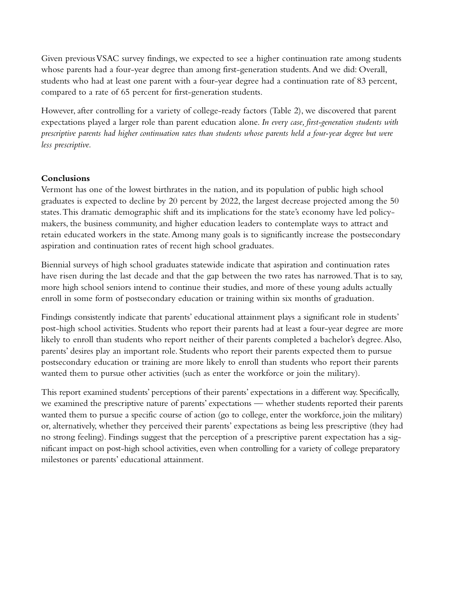Given previous VSAC survey findings, we expected to see a higher continuation rate among students whose parents had a four-year degree than among first-generation students.And we did: Overall, students who had at least one parent with a four-year degree had a continuation rate of 83 percent, compared to a rate of 65 percent for first-generation students.

However, after controlling for a variety of college-ready factors (Table 2), we discovered that parent expectations played a larger role than parent education alone. *In every case, first-generation students with prescriptive parents had higher continuation rates than students whose parents held a four-year degree but were less prescriptive.*

## **Conclusions**

Vermont has one of the lowest birthrates in the nation, and its population of public high school graduates is expected to decline by 20 percent by 2022, the largest decrease projected among the 50 states.This dramatic demographic shift and its implications for the state's economy have led policymakers, the business community, and higher education leaders to contemplate ways to attract and retain educated workers in the state.Among many goals is to significantly increase the postsecondary aspiration and continuation rates of recent high school graduates.

Biennial surveys of high school graduates statewide indicate that aspiration and continuation rates have risen during the last decade and that the gap between the two rates has narrowed.That is to say, more high school seniors intend to continue their studies, and more of these young adults actually enroll in some form of postsecondary education or training within six months of graduation.

Findings consistently indicate that parents' educational attainment plays a significant role in students' post-high school activities. Students who report their parents had at least a four-year degree are more likely to enroll than students who report neither of their parents completed a bachelor's degree.Also, parents' desires play an important role. Students who report their parents expected them to pursue postsecondary education or training are more likely to enroll than students who report their parents wanted them to pursue other activities (such as enter the workforce or join the military).

This report examined students' perceptions of their parents' expectations in a different way. Specifically, we examined the prescriptive nature of parents' expectations — whether students reported their parents wanted them to pursue a specific course of action (go to college, enter the workforce, join the military) or, alternatively, whether they perceived their parents' expectations as being less prescriptive (they had no strong feeling). Findings suggest that the perception of a prescriptive parent expectation has a significant impact on post-high school activities, even when controlling for a variety of college preparatory milestones or parents' educational attainment.